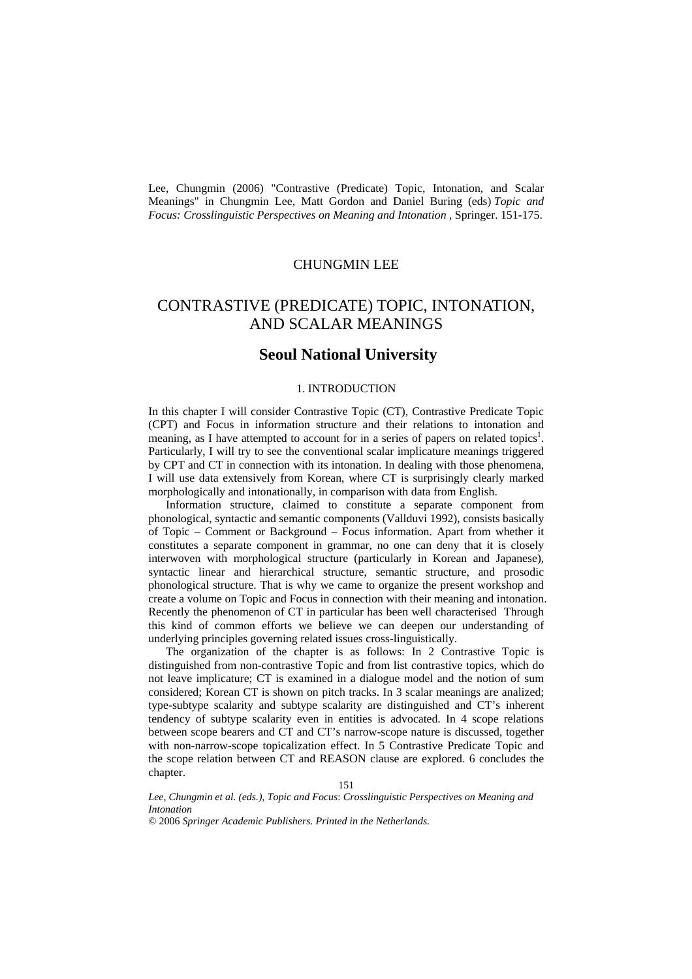Lee, Chungmin (2006) "Contrastive (Predicate) Topic, Intonation, and Scalar Meanings" in Chungmin Lee, Matt Gordon and Daniel Buring (eds) *Topic and Focus: Crosslinguistic Perspectives on Meaning and Intonation ,* Springer. 151-175.

# CHUNGMIN LEE

# CONTRASTIVE (PREDICATE) TOPIC, INTONATION, AND SCALAR MEANINGS

# **Seoul National University**

# 1. INTRODUCTION

In this chapter I will consider Contrastive Topic (CT), Contrastive Predicate Topic (CPT) and Focus in information structure and their relations to intonation and meaning, as I have attempted to account for in a series of papers on related topics<sup>1</sup>. Particularly, I will try to see the conventional scalar implicature meanings triggered by CPT and CT in connection with its intonation. In dealing with those phenomena, I will use data extensively from Korean, where CT is surprisingly clearly marked morphologically and intonationally, in comparison with data from English.

Information structure, claimed to constitute a separate component from phonological, syntactic and semantic components (Vallduvi 1992), consists basically of Topic – Comment or Background – Focus information. Apart from whether it constitutes a separate component in grammar, no one can deny that it is closely interwoven with morphological structure (particularly in Korean and Japanese), syntactic linear and hierarchical structure, semantic structure, and prosodic phonological structure. That is why we came to organize the present workshop and create a volume on Topic and Focus in connection with their meaning and intonation. Recently the phenomenon of CT in particular has been well characterised Through this kind of common efforts we believe we can deepen our understanding of underlying principles governing related issues cross-linguistically.

The organization of the chapter is as follows: In 2 Contrastive Topic is distinguished from non-contrastive Topic and from list contrastive topics, which do not leave implicature; CT is examined in a dialogue model and the notion of sum considered; Korean CT is shown on pitch tracks. In 3 scalar meanings are analized; type-subtype scalarity and subtype scalarity are distinguished and CT's inherent tendency of subtype scalarity even in entities is advocated. In 4 scope relations between scope bearers and CT and CT's narrow-scope nature is discussed, together with non-narrow-scope topicalization effect. In 5 Contrastive Predicate Topic and the scope relation between CT and REASON clause are explored. 6 concludes the chapter.

151

*Lee, Chungmin et al. (eds.), Topic and Focus*: *Crosslinguistic Perspectives on Meaning and Intonation* 

© 2006 *Springer Academic Publishers. Printed in the Netherlands.*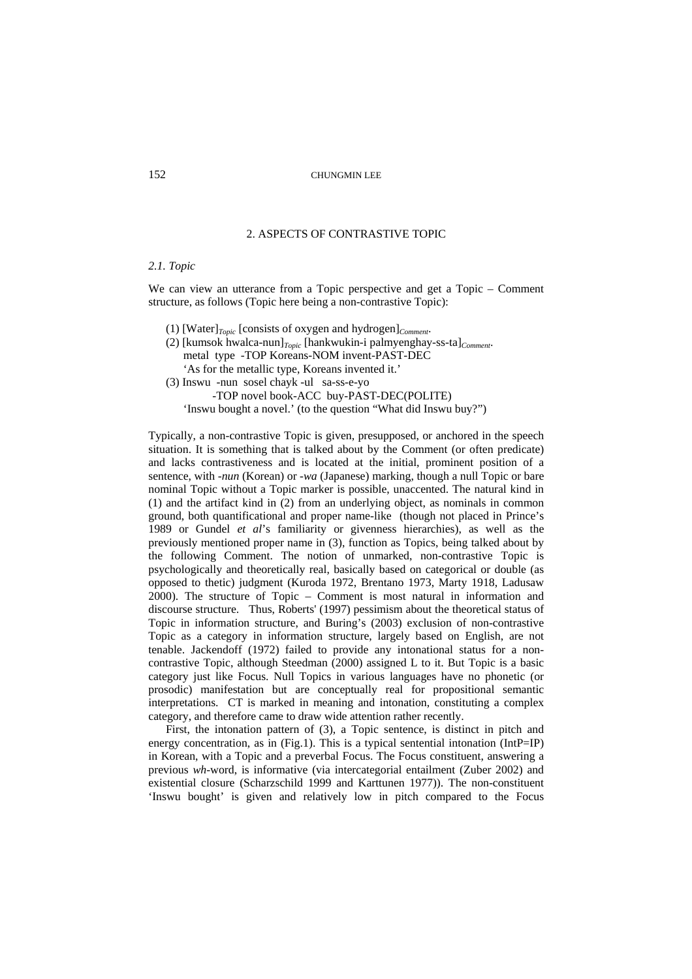# 2. ASPECTS OF CONTRASTIVE TOPIC

#### *2.1. Topic*

We can view an utterance from a Topic perspective and get a Topic – Comment structure, as follows (Topic here being a non-contrastive Topic):

- (1) [Water]*Topic* [consists of oxygen and hydrogen]*Comment*.
- (2) [kumsok hwalca-nun]*Topic* [hankwukin-i palmyenghay-ss-ta]*Comment*. metal type -TOP Koreans-NOM invent-PAST-DEC 'As for the metallic type, Koreans invented it.' (3) Inswu -nun sosel chayk -ul sa-ss-e-yo
	- -TOP novel book-ACC buy-PAST-DEC(POLITE) 'Inswu bought a novel.' (to the question "What did Inswu buy?")

Typically, a non-contrastive Topic is given, presupposed, or anchored in the speech situation. It is something that is talked about by the Comment (or often predicate) and lacks contrastiveness and is located at the initial, prominent position of a sentence, with -*nun* (Korean) or *-wa* (Japanese) marking, though a null Topic or bare nominal Topic without a Topic marker is possible, unaccented. The natural kind in (1) and the artifact kind in (2) from an underlying object, as nominals in common ground, both quantificational and proper name-like (though not placed in Prince's 1989 or Gundel *et al*'s familiarity or givenness hierarchies), as well as the previously mentioned proper name in (3), function as Topics, being talked about by the following Comment. The notion of unmarked, non-contrastive Topic is psychologically and theoretically real, basically based on categorical or double (as opposed to thetic) judgment (Kuroda 1972, Brentano 1973, Marty 1918, Ladusaw 2000). The structure of Topic – Comment is most natural in information and discourse structure. Thus, Roberts' (1997) pessimism about the theoretical status of Topic in information structure, and Buring's (2003) exclusion of non-contrastive Topic as a category in information structure, largely based on English, are not tenable. Jackendoff (1972) failed to provide any intonational status for a noncontrastive Topic, although Steedman (2000) assigned L to it. But Topic is a basic category just like Focus. Null Topics in various languages have no phonetic (or prosodic) manifestation but are conceptually real for propositional semantic interpretations. CT is marked in meaning and intonation, constituting a complex category, and therefore came to draw wide attention rather recently.

First, the intonation pattern of (3), a Topic sentence, is distinct in pitch and energy concentration, as in (Fig.1). This is a typical sentential intonation (IntP=IP) in Korean, with a Topic and a preverbal Focus. The Focus constituent, answering a previous *wh-*word, is informative (via intercategorial entailment (Zuber 2002) and existential closure (Scharzschild 1999 and Karttunen 1977)). The non-constituent 'Inswu bought' is given and relatively low in pitch compared to the Focus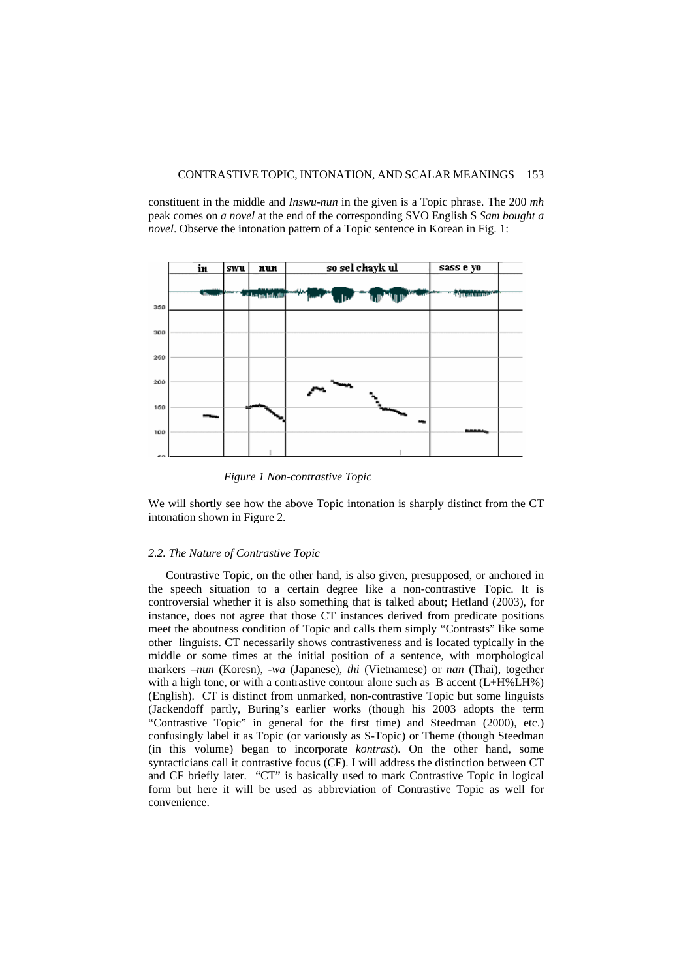constituent in the middle and *Inswu-nun* in the given is a Topic phrase. The 200 *mh*  peak comes on *a novel* at the end of the corresponding SVO English S *Sam bought a novel*. Observe the intonation pattern of a Topic sentence in Korean in Fig. 1:



*Figure 1 Non-contrastive Topic* 

We will shortly see how the above Topic intonation is sharply distinct from the CT intonation shown in Figure 2.

#### *2.2. The Nature of Contrastive Topic*

Contrastive Topic, on the other hand, is also given, presupposed, or anchored in the speech situation to a certain degree like a non-contrastive Topic. It is controversial whether it is also something that is talked about; Hetland (2003), for instance, does not agree that those CT instances derived from predicate positions meet the aboutness condition of Topic and calls them simply "Contrasts" like some other linguists. CT necessarily shows contrastiveness and is located typically in the middle or some times at the initial position of a sentence, with morphological markers –*nun* (Koresn), *-wa* (Japanese), *thi* (Vietnamese) or *nan* (Thai), together with a high tone, or with a contrastive contour alone such as B accent  $(L+H\%LH\%)$ (English). CT is distinct from unmarked, non-contrastive Topic but some linguists (Jackendoff partly, Buring's earlier works (though his 2003 adopts the term "Contrastive Topic" in general for the first time) and Steedman (2000), etc.) confusingly label it as Topic (or variously as S-Topic) or Theme (though Steedman (in this volume) began to incorporate *kontrast*). On the other hand, some syntacticians call it contrastive focus (CF). I will address the distinction between CT and CF briefly later. "CT" is basically used to mark Contrastive Topic in logical form but here it will be used as abbreviation of Contrastive Topic as well for convenience.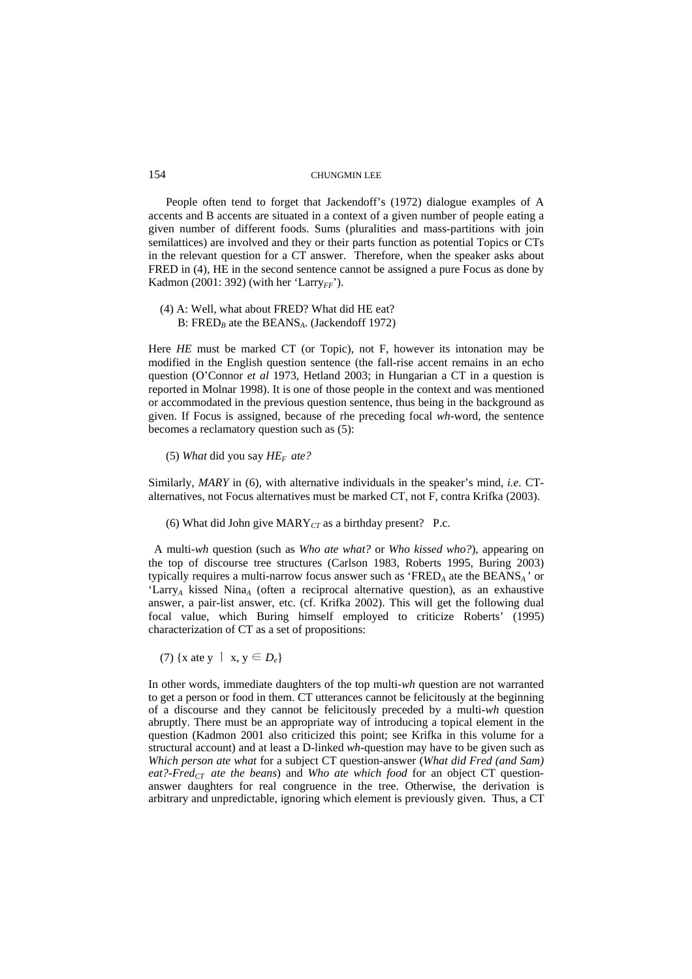People often tend to forget that Jackendoff's (1972) dialogue examples of A accents and B accents are situated in a context of a given number of people eating a given number of different foods. Sums (pluralities and mass-partitions with join semilattices) are involved and they or their parts function as potential Topics or CTs in the relevant question for a CT answer. Therefore, when the speaker asks about FRED in (4), HE in the second sentence cannot be assigned a pure Focus as done by Kadmon (2001: 392) (with her 'Larry<sub>FF</sub>').

 (4) A: Well, what about FRED? What did HE eat? B: FRED<sub>*B*</sub> ate the BEANS<sub>A</sub>. (Jackendoff 1972)

Here *HE* must be marked CT (or Topic), not F, however its intonation may be modified in the English question sentence (the fall-rise accent remains in an echo question (O'Connor *et al* 1973, Hetland 2003; in Hungarian a CT in a question is reported in Molnar 1998). It is one of those people in the context and was mentioned or accommodated in the previous question sentence, thus being in the background as given. If Focus is assigned, because of rhe preceding focal *wh*-word, the sentence becomes a reclamatory question such as (5):

(5) *What* did you say *HEF ate?*

Similarly, *MARY* in (6), with alternative individuals in the speaker's mind, *i.e.* CTalternatives, not Focus alternatives must be marked CT, not F, contra Krifka (2003).

(6) What did John give MARY*CT* as a birthday present? P.c.

A multi-*wh* question (such as *Who ate what?* or *Who kissed who?*), appearing on the top of discourse tree structures (Carlson 1983, Roberts 1995, Buring 2003) typically requires a multi-narrow focus answer such as 'FRED*A* ate the BEANS*A* ' or 'Larry*A* kissed Nina*A* (often a reciprocal alternative question), as an exhaustive answer, a pair-list answer, etc. (cf. Krifka 2002). This will get the following dual focal value, which Buring himself employed to criticize Roberts' (1995) characterization of CT as a set of propositions:

(7) {x ate y  $\vert x, y \in D_e$ }

In other words, immediate daughters of the top multi-*wh* question are not warranted to get a person or food in them. CT utterances cannot be felicitously at the beginning of a discourse and they cannot be felicitously preceded by a multi-*wh* question abruptly. There must be an appropriate way of introducing a topical element in the question (Kadmon 2001 also criticized this point; see Krifka in this volume for a structural account) and at least a D-linked *wh*-question may have to be given such as *Which person ate what* for a subject CT question-answer (*What did Fred (and Sam)*   $eat?-Fred<sub>CT</sub>$  *ate the beans*) and *Who ate which food* for an object CT questionanswer daughters for real congruence in the tree. Otherwise, the derivation is arbitrary and unpredictable, ignoring which element is previously given. Thus, a CT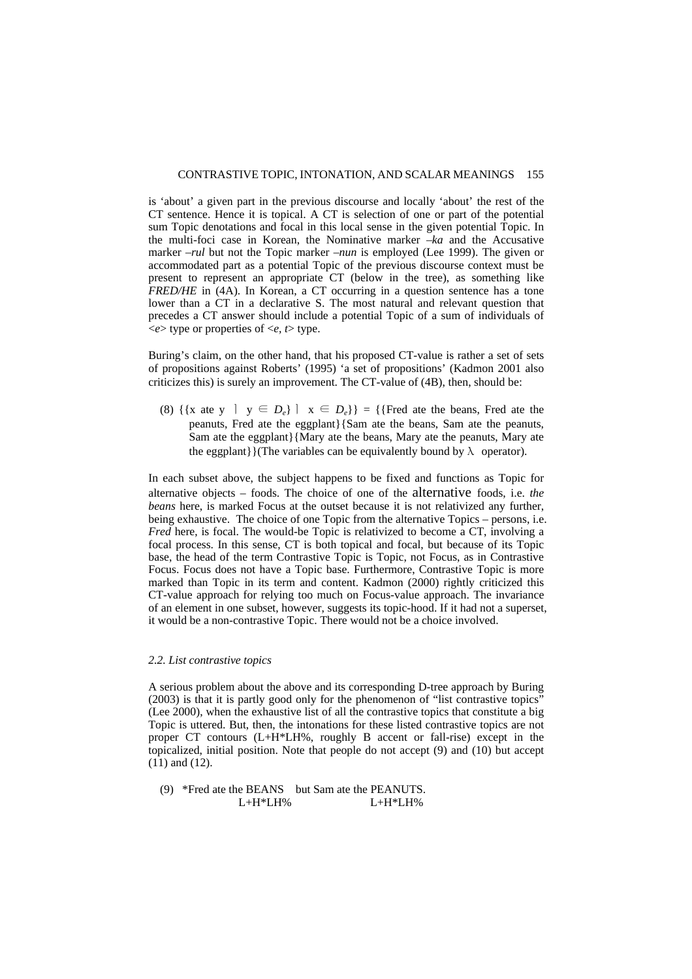is 'about' a given part in the previous discourse and locally 'about' the rest of the CT sentence. Hence it is topical. A CT is selection of one or part of the potential sum Topic denotations and focal in this local sense in the given potential Topic. In the multi-foci case in Korean, the Nominative marker –*ka* and the Accusative marker –*rul* but not the Topic marker –*nun* is employed (Lee 1999). The given or accommodated part as a potential Topic of the previous discourse context must be present to represent an appropriate CT (below in the tree), as something like *FRED/HE* in (4A). In Korean, a CT occurring in a question sentence has a tone lower than a CT in a declarative S. The most natural and relevant question that precedes a CT answer should include a potential Topic of a sum of individuals of <*e*> type or properties of <*e, t*> type.

Buring's claim, on the other hand, that his proposed CT-value is rather a set of sets of propositions against Roberts' (1995) 'a set of propositions' (Kadmon 2001 also criticizes this) is surely an improvement. The CT-value of (4B), then, should be:

(8)  $\{x \text{ ate } y \mid y \in D_e\} \mid x \in D_e\} = \{\{\text{Fred ate the beans, Fred ate the }\}$ peanuts, Fred ate the eggplant}{Sam ate the beans, Sam ate the peanuts, Sam ate the eggplant}{Mary ate the beans, Mary ate the peanuts, Mary ate the eggplant}}(The variables can be equivalently bound by  $\lambda$  operator).

In each subset above, the subject happens to be fixed and functions as Topic for alternative objects – foods. The choice of one of the alternative foods, i.e. *the beans* here, is marked Focus at the outset because it is not relativized any further, being exhaustive. The choice of one Topic from the alternative Topics – persons, i.e. *Fred* here, is focal. The would-be Topic is relativized to become a CT, involving a focal process. In this sense, CT is both topical and focal, but because of its Topic base, the head of the term Contrastive Topic is Topic, not Focus, as in Contrastive Focus. Focus does not have a Topic base. Furthermore, Contrastive Topic is more marked than Topic in its term and content. Kadmon (2000) rightly criticized this CT-value approach for relying too much on Focus-value approach. The invariance of an element in one subset, however, suggests its topic-hood. If it had not a superset, it would be a non-contrastive Topic. There would not be a choice involved.

#### *2.2. List contrastive topics*

A serious problem about the above and its corresponding D-tree approach by Buring (2003) is that it is partly good only for the phenomenon of "list contrastive topics" (Lee 2000), when the exhaustive list of all the contrastive topics that constitute a big Topic is uttered. But, then, the intonations for these listed contrastive topics are not proper CT contours (L+H\*LH%, roughly B accent or fall-rise) except in the topicalized, initial position. Note that people do not accept (9) and (10) but accept (11) and (12).

 (9) \*Fred ate the BEANS but Sam ate the PEANUTS.  $L+H*L$ H%  $L+H*L$ H%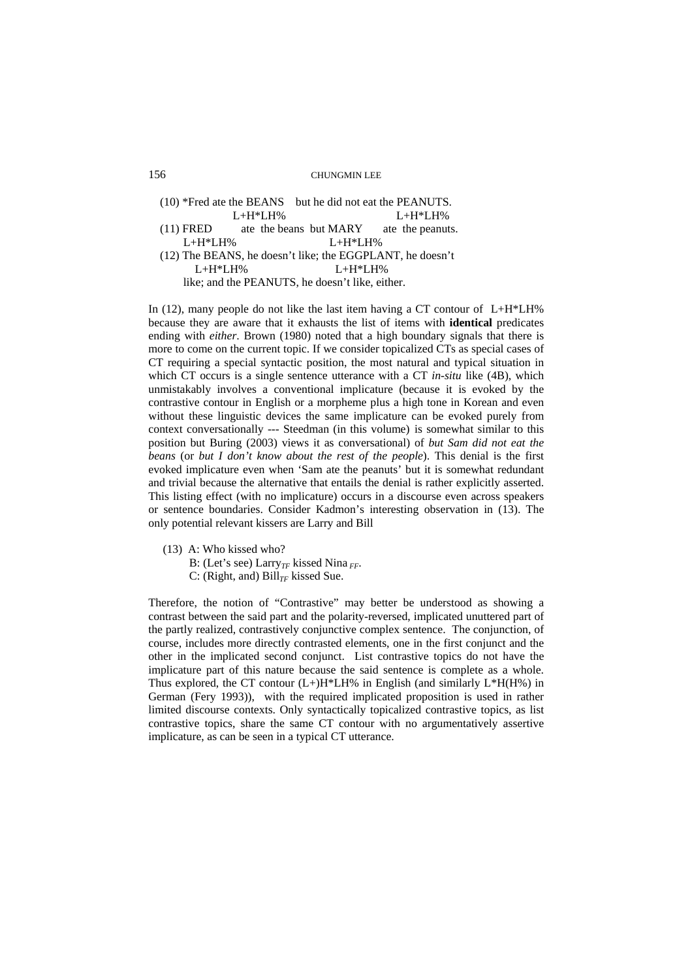- (10) \*Fred ate the BEANS but he did not eat the PEANUTS.  $L+H*LH\%$   $L+H*LH\%$
- (11) FRED ate the beans but MARY ate the peanuts.  $L+H*L$ H%  $L+H*L$ H%
- (12) The BEANS, he doesn't like; the EGGPLANT, he doesn't L+H\*LH% L+H\*LH% like; and the PEANUTS, he doesn't like, either.

In (12), many people do not like the last item having a CT contour of  $L+H^*LH\%$ because they are aware that it exhausts the list of items with **identical** predicates ending with *either*. Brown (1980) noted that a high boundary signals that there is more to come on the current topic. If we consider topicalized CTs as special cases of CT requiring a special syntactic position, the most natural and typical situation in which CT occurs is a single sentence utterance with a CT *in-situ* like (4B), which unmistakably involves a conventional implicature (because it is evoked by the contrastive contour in English or a morpheme plus a high tone in Korean and even without these linguistic devices the same implicature can be evoked purely from context conversationally --- Steedman (in this volume) is somewhat similar to this position but Buring (2003) views it as conversational) of *but Sam did not eat the beans* (or *but I don't know about the rest of the people*). This denial is the first evoked implicature even when 'Sam ate the peanuts' but it is somewhat redundant and trivial because the alternative that entails the denial is rather explicitly asserted. This listing effect (with no implicature) occurs in a discourse even across speakers or sentence boundaries. Consider Kadmon's interesting observation in (13). The only potential relevant kissers are Larry and Bill

- (13) A: Who kissed who?
	- B: (Let's see) Larry*TF* kissed Nina *FF*. C: (Right, and)  $\text{Bill}_{TF}$  kissed Sue.

Therefore, the notion of "Contrastive" may better be understood as showing a contrast between the said part and the polarity-reversed, implicated unuttered part of the partly realized, contrastively conjunctive complex sentence. The conjunction, of course, includes more directly contrasted elements, one in the first conjunct and the other in the implicated second conjunct. List contrastive topics do not have the implicature part of this nature because the said sentence is complete as a whole. Thus explored, the CT contour  $(L+)H^*LH\%$  in English (and similarly  $L^*H(H\%)$  in German (Fery 1993)), with the required implicated proposition is used in rather limited discourse contexts. Only syntactically topicalized contrastive topics, as list contrastive topics, share the same CT contour with no argumentatively assertive implicature, as can be seen in a typical CT utterance.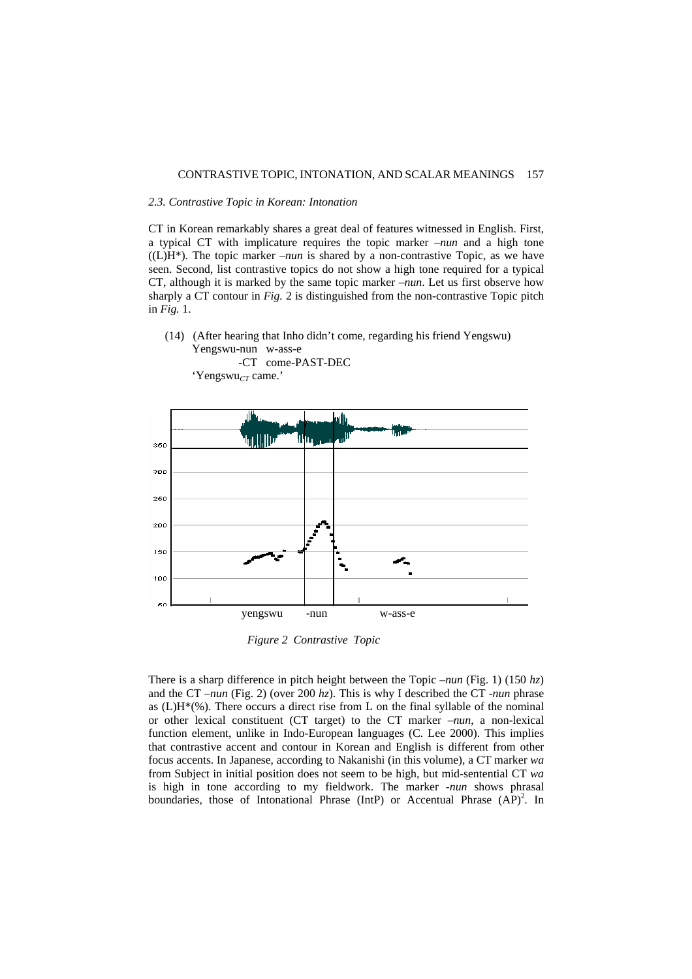#### *2.3. Contrastive Topic in Korean: Intonation*

CT in Korean remarkably shares a great deal of features witnessed in English. First, a typical CT with implicature requires the topic marker –*nun* and a high tone  $((L)H^*)$ . The topic marker *-nun* is shared by a non-contrastive Topic, as we have seen. Second, list contrastive topics do not show a high tone required for a typical CT, although it is marked by the same topic marker –*nun*. Let us first observe how sharply a CT contour in *Fig.* 2 is distinguished from the non-contrastive Topic pitch in *Fig.* 1.

(14) (After hearing that Inho didn't come, regarding his friend Yengswu) Yengswu-nun w-ass-e -CT come-PAST-DEC





 *Figure 2 Contrastive Topic* 

There is a sharp difference in pitch height between the Topic –*nun* (Fig. 1) (150 *hz*) and the CT –*nun* (Fig. 2) (over 200 *hz*). This is why I described the CT -*nun* phrase as (L)H $*(\%)$ . There occurs a direct rise from L on the final syllable of the nominal or other lexical constituent (CT target) to the CT marker –*nun*, a non-lexical function element, unlike in Indo-European languages (C. Lee 2000). This implies that contrastive accent and contour in Korean and English is different from other focus accents. In Japanese, according to Nakanishi (in this volume), a CT marker *wa*  from Subject in initial position does not seem to be high, but mid-sentential CT *wa*  is high in tone according to my fieldwork. The marker -*nun* shows phrasal boundaries, those of Intonational Phrase (IntP) or Accentual Phrase (AP)<sup>2</sup>. In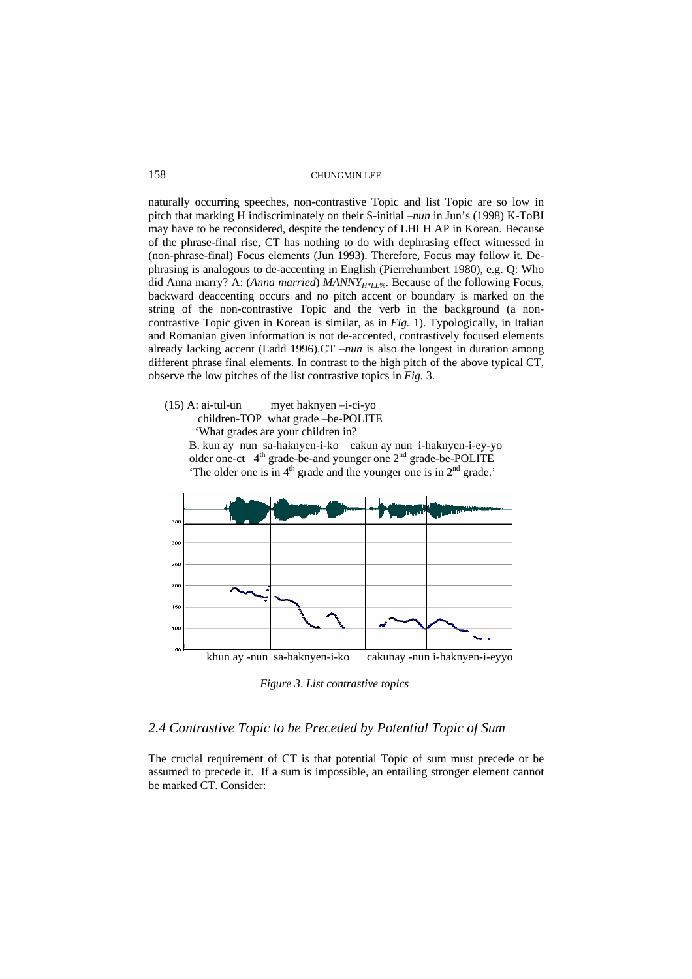naturally occurring speeches, non-contrastive Topic and list Topic are so low in pitch that marking H indiscriminately on their S-initial –*nun* in Jun's (1998) K-ToBI may have to be reconsidered, despite the tendency of LHLH AP in Korean. Because of the phrase-final rise, CT has nothing to do with dephrasing effect witnessed in (non-phrase-final) Focus elements (Jun 1993). Therefore, Focus may follow it. Dephrasing is analogous to de-accenting in English (Pierrehumbert 1980), e.g. Q: Who did Anna marry? A: (*Anna married*) *MANNY<sub>H\*LL%</sub>*. Because of the following Focus, backward deaccenting occurs and no pitch accent or boundary is marked on the string of the non-contrastive Topic and the verb in the background (a noncontrastive Topic given in Korean is similar, as in *Fig.* 1). Typologically, in Italian and Romanian given information is not de-accented, contrastively focused elements already lacking accent (Ladd 1996).CT –*nun* is also the longest in duration among different phrase final elements. In contrast to the high pitch of the above typical CT, observe the low pitches of the list contrastive topics in *Fig.* 3.

 (15) A: ai-tul-un myet haknyen –i-ci-yo children-TOP what grade –be-POLITE

'What grades are your children in?

B. kun ay nun sa-haknyen-i-ko cakun ay nun i-haknyen-i-ey-yo older one-ct  $4<sup>th</sup>$  grade-be-and younger one  $2<sup>nd</sup>$  grade-be-POLITE 'The older one is in  $4<sup>th</sup>$  grade and the younger one is in  $2<sup>nd</sup>$  grade.'



*Figure 3*. *List contrastive topics* 

## *2.4 Contrastive Topic to be Preceded by Potential Topic of Sum*

The crucial requirement of CT is that potential Topic of sum must precede or be assumed to precede it. If a sum is impossible, an entailing stronger element cannot be marked CT. Consider: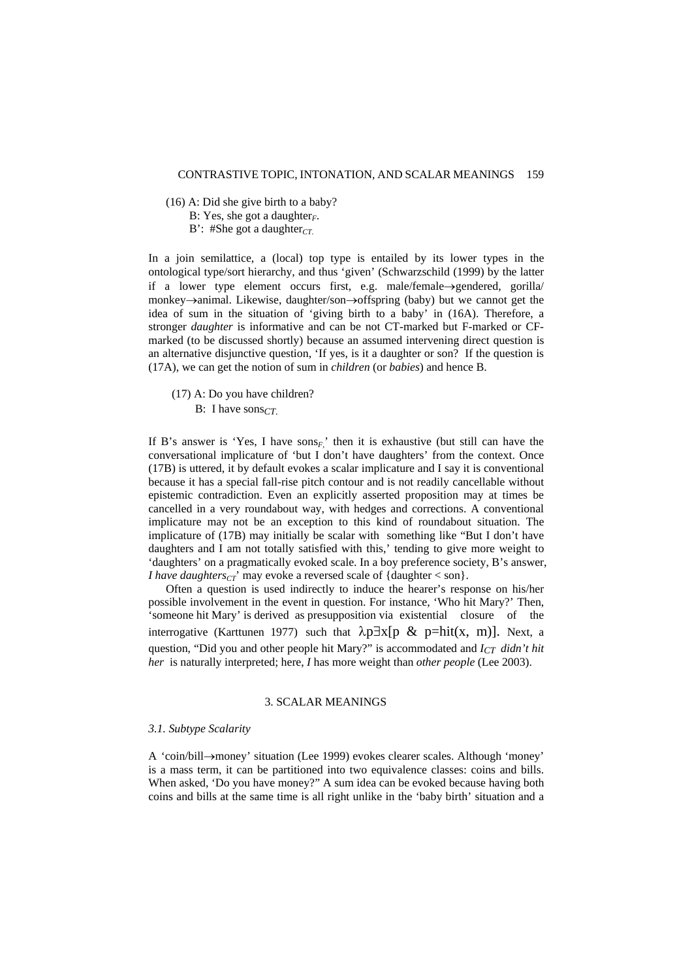(16) A: Did she give birth to a baby?

B: Yes, she got a daughter<sub>*F*</sub>.

B': #She got a daughter<sub>CT</sub>.

In a join semilattice, a (local) top type is entailed by its lower types in the ontological type/sort hierarchy, and thus 'given' (Schwarzschild (1999) by the latter if a lower type element occurs first, e.g. male/female→gendered, gorilla/ monkey→animal. Likewise, daughter/son→offspring (baby) but we cannot get the idea of sum in the situation of 'giving birth to a baby' in (16A). Therefore, a stronger *daughter* is informative and can be not CT-marked but F-marked or CFmarked (to be discussed shortly) because an assumed intervening direct question is an alternative disjunctive question, 'If yes, is it a daughter or son? If the question is (17A), we can get the notion of sum in *children* (or *babies*) and hence B.

(17) A: Do you have children?

B: I have sons<sub>CT</sub>.

If B's answer is 'Yes, I have  $sons_F$ ' then it is exhaustive (but still can have the conversational implicature of 'but I don't have daughters' from the context. Once (17B) is uttered, it by default evokes a scalar implicature and I say it is conventional because it has a special fall-rise pitch contour and is not readily cancellable without epistemic contradiction. Even an explicitly asserted proposition may at times be cancelled in a very roundabout way, with hedges and corrections. A conventional implicature may not be an exception to this kind of roundabout situation. The implicature of (17B) may initially be scalar with something like "But I don't have daughters and I am not totally satisfied with this,' tending to give more weight to 'daughters' on a pragmatically evoked scale. In a boy preference society, B's answer, *I have daughters* $_{CT}$ ' may evoke a reversed scale of {daughter < son}.

Often a question is used indirectly to induce the hearer's response on his/her possible involvement in the event in question. For instance, 'Who hit Mary?' Then, 'someone hit Mary' is derived as presupposition via existential closure of the interrogative (Karttunen 1977) such that  $\lambda p \exists x [p \& p=hit(x, m)]$ . Next, a question, "Did you and other people hit Mary?" is accommodated and  $I_{CT}$  didn't hit *her* is naturally interpreted; here, *I* has more weight than *other people* (Lee 2003).

#### 3. SCALAR MEANINGS

#### *3.1. Subtype Scalarity*

A 'coin/bill→money' situation (Lee 1999) evokes clearer scales. Although 'money' is a mass term, it can be partitioned into two equivalence classes: coins and bills. When asked, 'Do you have money?" A sum idea can be evoked because having both coins and bills at the same time is all right unlike in the 'baby birth' situation and a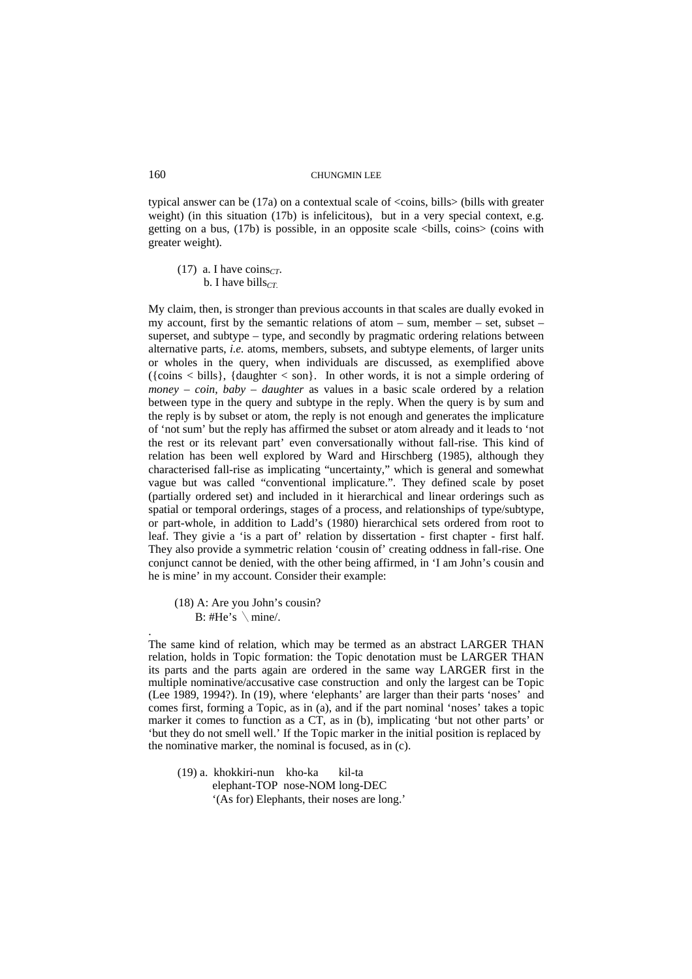typical answer can be  $(17a)$  on a contextual scale of  $\langle \text{coins, bills} \rangle$  (bills with greater weight) (in this situation (17b) is infelicitous), but in a very special context, e.g. getting on a bus,  $(17b)$  is possible, in an opposite scale  $\langle$ bills, coins $\rangle$  (coins with greater weight).

(17) a. I have coins<sub> $CT$ </sub>. b. I have bills $_{CT}$ 

My claim, then, is stronger than previous accounts in that scales are dually evoked in my account, first by the semantic relations of atom – sum, member – set, subset – superset, and subtype – type, and secondly by pragmatic ordering relations between alternative parts, *i.e.* atoms, members, subsets, and subtype elements, of larger units or wholes in the query, when individuals are discussed, as exemplified above ({coins < bills}, {daughter < son}. In other words, it is not a simple ordering of *money* – *coin*, *baby – daughter* as values in a basic scale ordered by a relation between type in the query and subtype in the reply. When the query is by sum and the reply is by subset or atom, the reply is not enough and generates the implicature of 'not sum' but the reply has affirmed the subset or atom already and it leads to 'not the rest or its relevant part' even conversationally without fall-rise. This kind of relation has been well explored by Ward and Hirschberg (1985), although they characterised fall-rise as implicating "uncertainty," which is general and somewhat vague but was called "conventional implicature.". They defined scale by poset (partially ordered set) and included in it hierarchical and linear orderings such as spatial or temporal orderings, stages of a process, and relationships of type/subtype, or part-whole, in addition to Ladd's (1980) hierarchical sets ordered from root to leaf. They givie a 'is a part of' relation by dissertation - first chapter - first half. They also provide a symmetric relation 'cousin of' creating oddness in fall-rise. One conjunct cannot be denied, with the other being affirmed, in 'I am John's cousin and he is mine' in my account. Consider their example:

 (18) A: Are you John's cousin? B: #He's  $\sim$  mine/.

The same kind of relation, which may be termed as an abstract LARGER THAN relation, holds in Topic formation: the Topic denotation must be LARGER THAN its parts and the parts again are ordered in the same way LARGER first in the multiple nominative/accusative case construction and only the largest can be Topic (Lee 1989, 1994?). In (19), where 'elephants' are larger than their parts 'noses' and comes first, forming a Topic, as in (a), and if the part nominal 'noses' takes a topic marker it comes to function as a CT, as in (b), implicating 'but not other parts' or 'but they do not smell well.' If the Topic marker in the initial position is replaced by the nominative marker, the nominal is focused, as in (c).

(19) a. khokkiri-nun kho-ka kil-ta elephant-TOP nose-NOM long-DEC '(As for) Elephants, their noses are long.'

.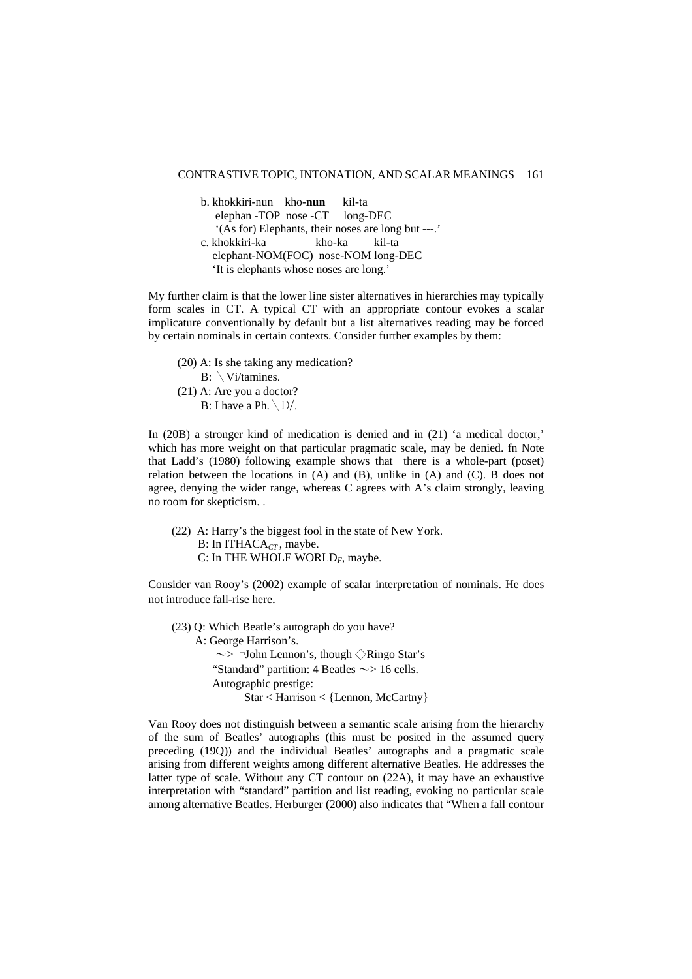b. khokkiri-nun kho-**nun** kil-ta elephan -TOP nose -CT long-DEC '(As for) Elephants, their noses are long but ---.' c. khokkiri-ka kho-ka kil-ta elephant-NOM(FOC) nose-NOM long-DEC 'It is elephants whose noses are long.'

My further claim is that the lower line sister alternatives in hierarchies may typically form scales in CT. A typical CT with an appropriate contour evokes a scalar implicature conventionally by default but a list alternatives reading may be forced by certain nominals in certain contexts. Consider further examples by them:

 (20) A: Is she taking any medication? B: \Vi/tamines. (21) A: Are you a doctor? B: I have a Ph.  $\Box$ D/.

In (20B) a stronger kind of medication is denied and in (21) 'a medical doctor,' which has more weight on that particular pragmatic scale, may be denied. fn Note that Ladd's (1980) following example shows that there is a whole-part (poset) relation between the locations in (A) and (B), unlike in (A) and (C). B does not agree, denying the wider range, whereas C agrees with A's claim strongly, leaving no room for skepticism. .

 (22) A: Harry's the biggest fool in the state of New York. B: In ITHAC $A_{CT}$ , maybe. C: In THE WHOLE WORLD*F*, maybe.

Consider van Rooy's (2002) example of scalar interpretation of nominals. He does not introduce fall-rise here.

 (23) Q: Which Beatle's autograph do you have? A: George Harrison's. ~> ¬John Lennon's, though ◇Ringo Star's "Standard" partition: 4 Beatles  $\sim$  > 16 cells. Autographic prestige: Star < Harrison < {Lennon, McCartny}

Van Rooy does not distinguish between a semantic scale arising from the hierarchy of the sum of Beatles' autographs (this must be posited in the assumed query preceding (19Q)) and the individual Beatles' autographs and a pragmatic scale arising from different weights among different alternative Beatles. He addresses the latter type of scale. Without any CT contour on (22A), it may have an exhaustive interpretation with "standard" partition and list reading, evoking no particular scale among alternative Beatles. Herburger (2000) also indicates that "When a fall contour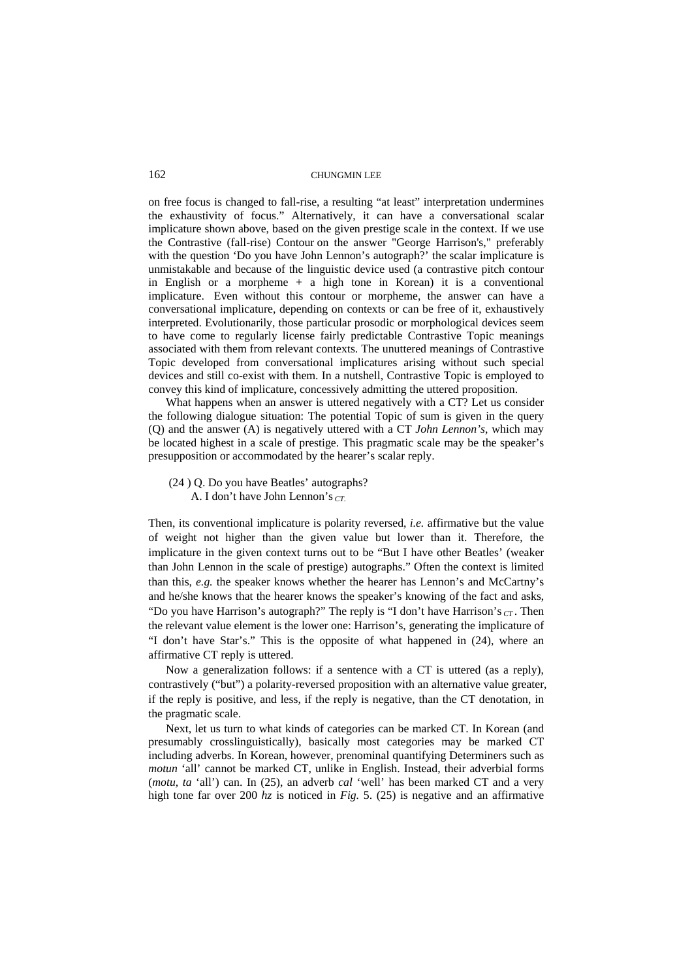on free focus is changed to fall-rise, a resulting "at least" interpretation undermines the exhaustivity of focus." Alternatively, it can have a conversational scalar implicature shown above, based on the given prestige scale in the context. If we use the Contrastive (fall-rise) Contour on the answer "George Harrison's," preferably with the question 'Do you have John Lennon's autograph?' the scalar implicature is unmistakable and because of the linguistic device used (a contrastive pitch contour in English or a morpheme  $+$  a high tone in Korean) it is a conventional implicature. Even without this contour or morpheme, the answer can have a conversational implicature, depending on contexts or can be free of it, exhaustively interpreted. Evolutionarily, those particular prosodic or morphological devices seem to have come to regularly license fairly predictable Contrastive Topic meanings associated with them from relevant contexts. The unuttered meanings of Contrastive Topic developed from conversational implicatures arising without such special devices and still co-exist with them. In a nutshell, Contrastive Topic is employed to convey this kind of implicature, concessively admitting the uttered proposition.

What happens when an answer is uttered negatively with a CT? Let us consider the following dialogue situation: The potential Topic of sum is given in the query (Q) and the answer (A) is negatively uttered with a CT *John Lennon's*, which may be located highest in a scale of prestige. This pragmatic scale may be the speaker's presupposition or accommodated by the hearer's scalar reply.

 (24 ) Q. Do you have Beatles' autographs? A. I don't have John Lennon's *CT.*

Then, its conventional implicature is polarity reversed, *i.e.* affirmative but the value of weight not higher than the given value but lower than it. Therefore, the implicature in the given context turns out to be "But I have other Beatles' (weaker than John Lennon in the scale of prestige) autographs." Often the context is limited than this, *e.g.* the speaker knows whether the hearer has Lennon's and McCartny's and he/she knows that the hearer knows the speaker's knowing of the fact and asks, "Do you have Harrison's autograph?" The reply is "I don't have Harrison's *CT* . Then the relevant value element is the lower one: Harrison's, generating the implicature of "I don't have Star's." This is the opposite of what happened in (24), where an affirmative CT reply is uttered.

Now a generalization follows: if a sentence with a CT is uttered (as a reply), contrastively ("but") a polarity-reversed proposition with an alternative value greater, if the reply is positive, and less, if the reply is negative, than the CT denotation, in the pragmatic scale.

Next, let us turn to what kinds of categories can be marked CT. In Korean (and presumably crosslinguistically), basically most categories may be marked CT including adverbs. In Korean, however, prenominal quantifying Determiners such as *motun* 'all' cannot be marked CT, unlike in English. Instead, their adverbial forms (*motu, ta* 'all') can. In (25), an adverb *cal* 'well' has been marked CT and a very high tone far over 200  $hz$  is noticed in *Fig.* 5. (25) is negative and an affirmative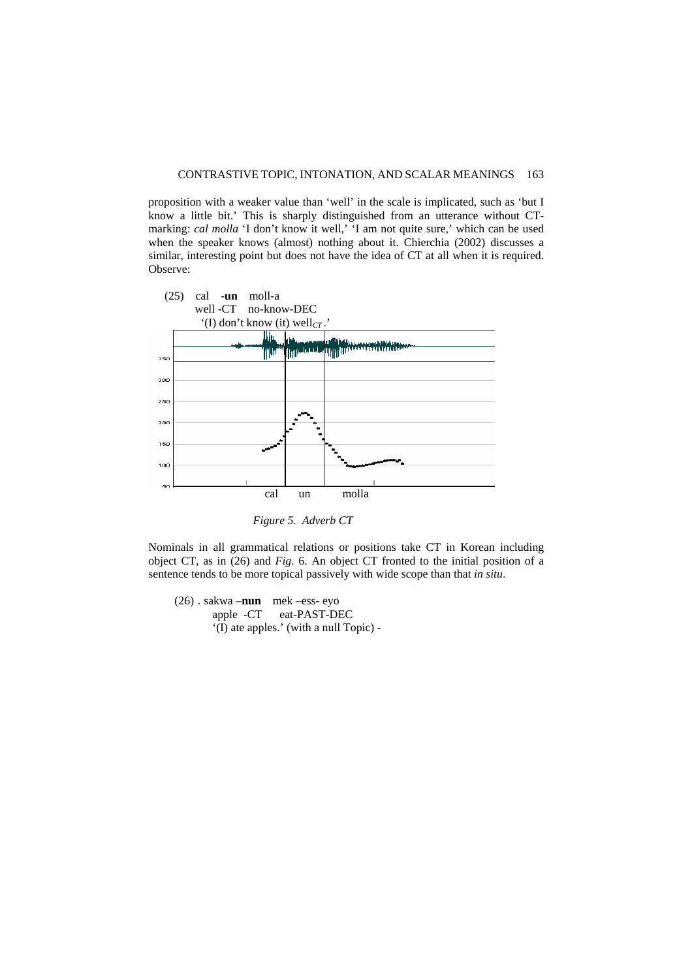proposition with a weaker value than 'well' in the scale is implicated, such as 'but I know a little bit.' This is sharply distinguished from an utterance without CTmarking: *cal molla* 'I don't know it well,' 'I am not quite sure,' which can be used when the speaker knows (almost) nothing about it. Chierchia (2002) discusses a similar, interesting point but does not have the idea of CT at all when it is required. Observe:



*Figure 5. Adverb CT* 

Nominals in all grammatical relations or positions take CT in Korean including object CT, as in (26) and *Fig.* 6. An object CT fronted to the initial position of a sentence tends to be more topical passively with wide scope than that *in situ*.

 (26) . sakwa –**nun** mek –ess- eyo apple -CT eat-PAST-DEC '(I) ate apples.' (with a null Topic) -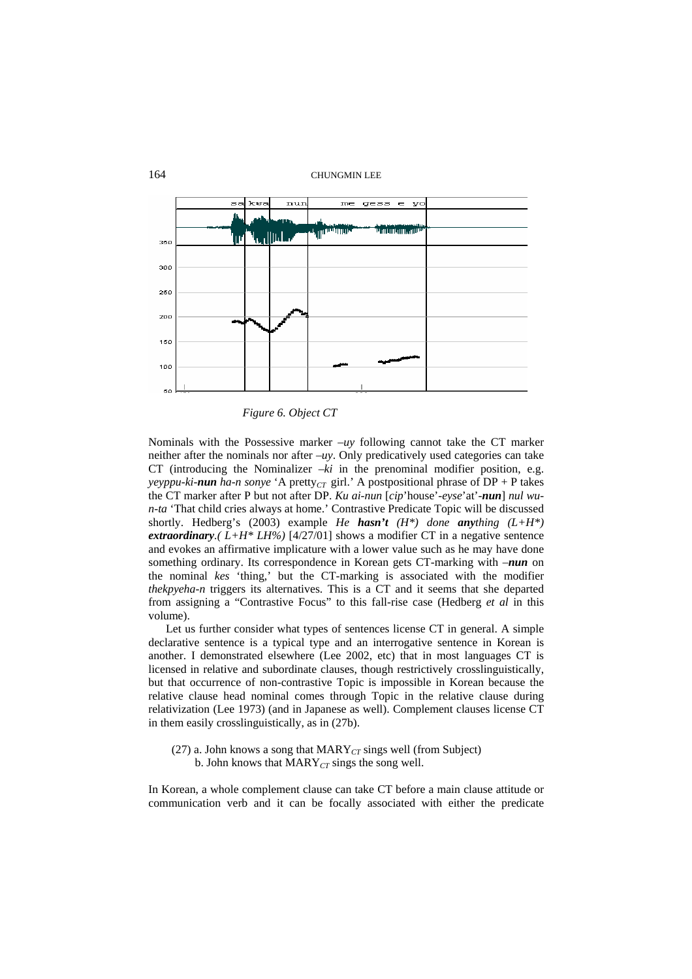164 CHUNGMIN LEE



 *Figure 6. Object CT* 

Nominals with the Possessive marker –*uy* following cannot take the CT marker neither after the nominals nor after  $-u$ y. Only predicatively used categories can take CT (introducing the Nominalizer  $-ki$  in the prenominal modifier position, e.g. *yeyppu-ki-nun ha-n sonye* 'A pretty<sub>*CT*</sub> girl.' A postpositional phrase of DP + P takes the CT marker after P but not after DP. *Ku ai-nun* [*cip*'house'*-eyse*'at'*-nun*] *nul wun-ta* 'That child cries always at home.' Contrastive Predicate Topic will be discussed shortly. Hedberg's (2003) example *He hasn't*  $(H^*)$  done *anything*  $(L+H^*)$ *extraordinary.*( $L+H^*LH\%$ ) [4/27/01] shows a modifier CT in a negative sentence and evokes an affirmative implicature with a lower value such as he may have done something ordinary. Its correspondence in Korean gets CT-marking with –*nun* on the nominal *kes* 'thing,' but the CT-marking is associated with the modifier *thekpyeha-n* triggers its alternatives. This is a CT and it seems that she departed from assigning a "Contrastive Focus" to this fall-rise case (Hedberg *et al* in this volume).

Let us further consider what types of sentences license CT in general. A simple declarative sentence is a typical type and an interrogative sentence in Korean is another. I demonstrated elsewhere (Lee 2002, etc) that in most languages CT is licensed in relative and subordinate clauses, though restrictively crosslinguistically, but that occurrence of non-contrastive Topic is impossible in Korean because the relative clause head nominal comes through Topic in the relative clause during relativization (Lee 1973) (and in Japanese as well). Complement clauses license CT in them easily crosslinguistically, as in (27b).

(27) a. John knows a song that MARY*CT* sings well (from Subject) b. John knows that MARY*CT* sings the song well.

In Korean, a whole complement clause can take CT before a main clause attitude or communication verb and it can be focally associated with either the predicate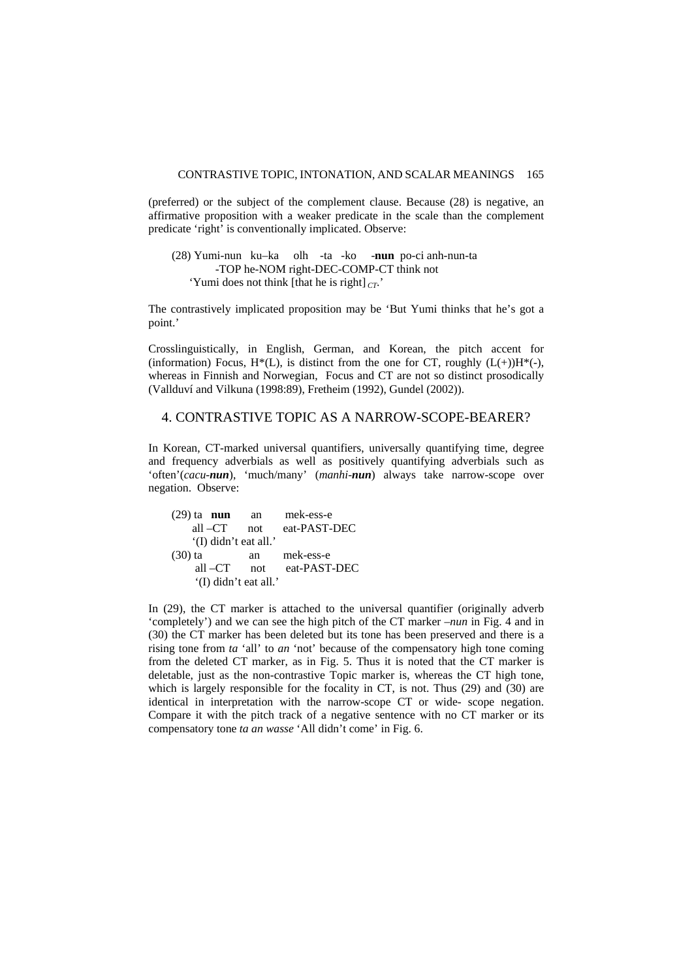(preferred) or the subject of the complement clause. Because (28) is negative, an affirmative proposition with a weaker predicate in the scale than the complement predicate 'right' is conventionally implicated. Observe:

 (28) Yumi-nun ku–ka olh -ta -ko -**nun** po-ci anh-nun-ta -TOP he-NOM right-DEC-COMP-CT think not 'Yumi does not think [that he is right] *CT*.'

The contrastively implicated proposition may be 'But Yumi thinks that he's got a point.'

Crosslinguistically, in English, German, and Korean, the pitch accent for (information) Focus,  $H^*(L)$ , is distinct from the one for CT, roughly  $(L(+)H^*(-))$ , whereas in Finnish and Norwegian, Focus and CT are not so distinct prosodically (Vallduví and Vilkuna (1998:89), Fretheim (1992), Gundel (2002)).

# 4. CONTRASTIVE TOPIC AS A NARROW-SCOPE-BEARER?

In Korean, CT-marked universal quantifiers, universally quantifying time, degree and frequency adverbials as well as positively quantifying adverbials such as 'often'(*cacu-nun*), 'much/many' (*manhi-nun*) always take narrow-scope over negation. Observe:

| $(29)$ ta <b>nun</b>  | an  | mek-ess-e    |
|-----------------------|-----|--------------|
| all –CT               | not | eat-PAST-DEC |
| '(I) didn't eat all.' |     |              |
| $(30)$ ta             | an  | mek-ess-e    |
| all –CT               | not | eat-PAST-DEC |
|                       |     |              |

In (29), the CT marker is attached to the universal quantifier (originally adverb 'completely') and we can see the high pitch of the CT marker –*nun* in Fig. 4 and in (30) the CT marker has been deleted but its tone has been preserved and there is a rising tone from *ta* 'all' to *an* 'not' because of the compensatory high tone coming from the deleted CT marker, as in Fig. 5. Thus it is noted that the CT marker is deletable, just as the non-contrastive Topic marker is, whereas the CT high tone, which is largely responsible for the focality in CT, is not. Thus (29) and (30) are identical in interpretation with the narrow-scope CT or wide- scope negation. Compare it with the pitch track of a negative sentence with no CT marker or its compensatory tone *ta an wasse* 'All didn't come' in Fig. 6.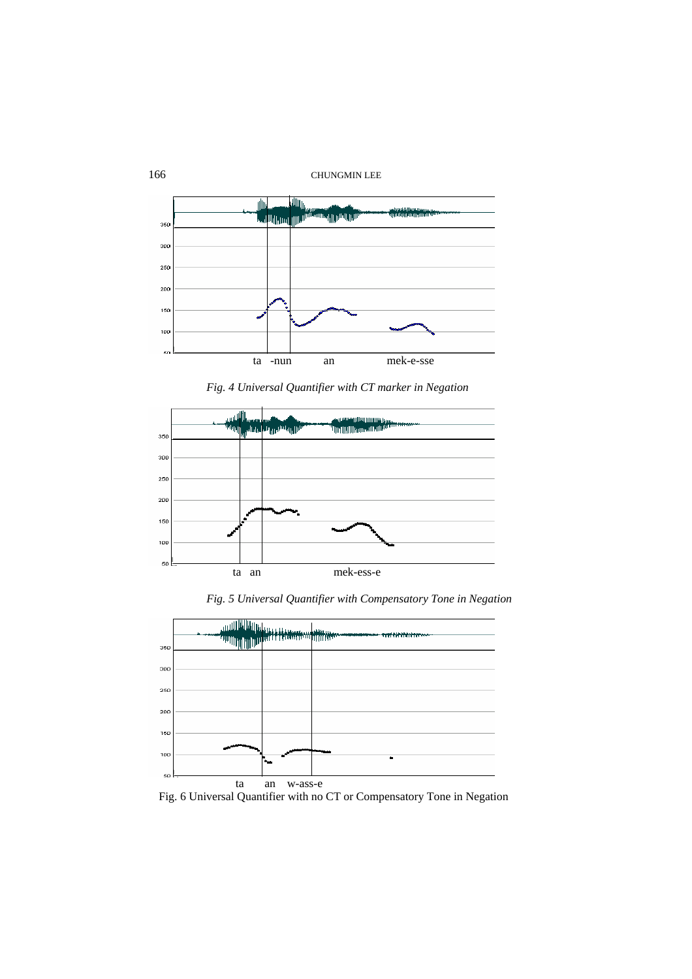

*Fig. 4 Universal Quantifier with CT marker in Negation*



*Fig. 5 Universal Quantifier with Compensatory Tone in Negation* 



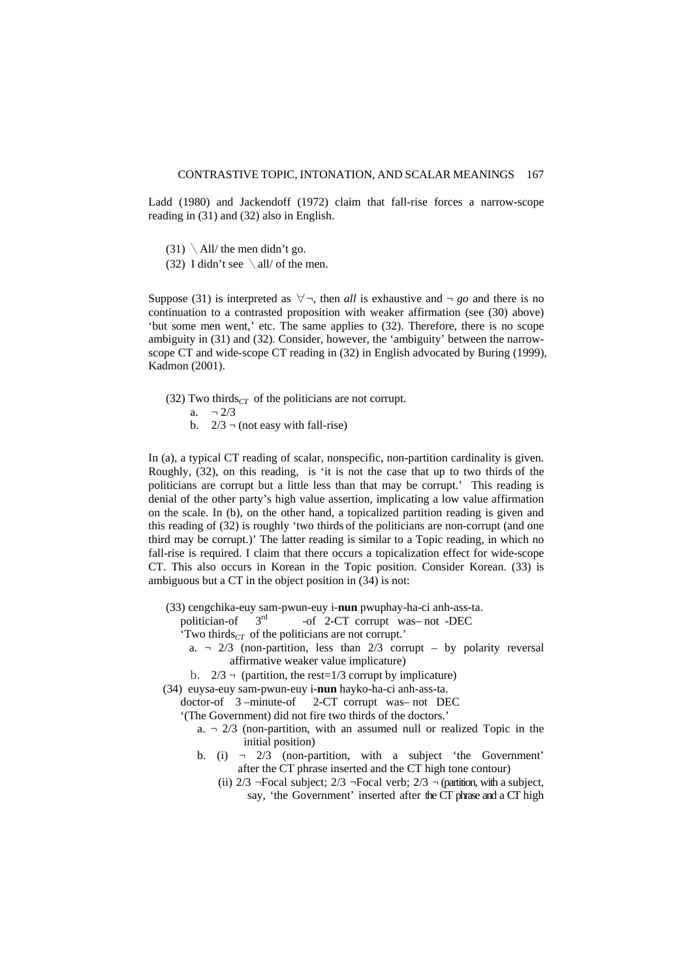Ladd (1980) and Jackendoff (1972) claim that fall-rise forces a narrow-scope reading in (31) and (32) also in English.

- $(31)$  \ All/ the men didn't go.
- (32) I didn't see  $\setminus$  all/ of the men.

Suppose (31) is interpreted as  $\forall \neg$ , then *all* is exhaustive and  $\neg$  *go* and there is no continuation to a contrasted proposition with weaker affirmation (see (30) above) 'but some men went,' etc. The same applies to (32). Therefore, there is no scope ambiguity in (31) and (32). Consider, however, the 'ambiguity' between the narrowscope CT and wide-scope CT reading in (32) in English advocated by Buring (1999), Kadmon (2001).

(32) Two thirds $_{CT}$  of the politicians are not corrupt.

- a.  $\neg$  2/3
- b.  $2/3 \neg$  (not easy with fall-rise)

In (a), a typical CT reading of scalar, nonspecific, non-partition cardinality is given. Roughly, (32), on this reading, is 'it is not the case that up to two thirds of the politicians are corrupt but a little less than that may be corrupt.' This reading is denial of the other party's high value assertion, implicating a low value affirmation on the scale. In (b), on the other hand, a topicalized partition reading is given and this reading of (32) is roughly 'two thirds of the politicians are non-corrupt (and one third may be corrupt.)' The latter reading is similar to a Topic reading, in which no fall-rise is required. I claim that there occurs a topicalization effect for wide-scope CT. This also occurs in Korean in the Topic position. Consider Korean. (33) is ambiguous but a CT in the object position in (34) is not:

(33) cengchika-euy sam-pwun-euy i-**nun** pwuphay-ha-ci anh-ass-ta.

-of 2-CT corrupt was– not -DEC

Two thirds $_{CT}$  of the politicians are not corrupt.'

- a.  $\sim$  2/3 (non-partition, less than 2/3 corrupt by polarity reversal affirmative weaker value implicature)
- b.  $2/3 \rightarrow$  (partition, the rest=1/3 corrupt by implicature)

(34) euysa-euy sam-pwun-euy i-**nun** hayko-ha-ci anh-ass-ta.

doctor-of 3 –minute-of 2-CT corrupt was– not DEC

'(The Government) did not fire two thirds of the doctors.'

- a.  $\sim$  2/3 (non-partition, with an assumed null or realized Topic in the initial position)
- b. (i)  $\sim$  2/3 (non-partition, with a subject 'the Government' after the CT phrase inserted and the CT high tone contour)
	- (ii)  $2/3$  ¬Focal subject;  $2/3$  ¬Focal verb;  $2/3$  ¬ (partition, with a subject, say, 'the Government' inserted after the CT phrase and a CT high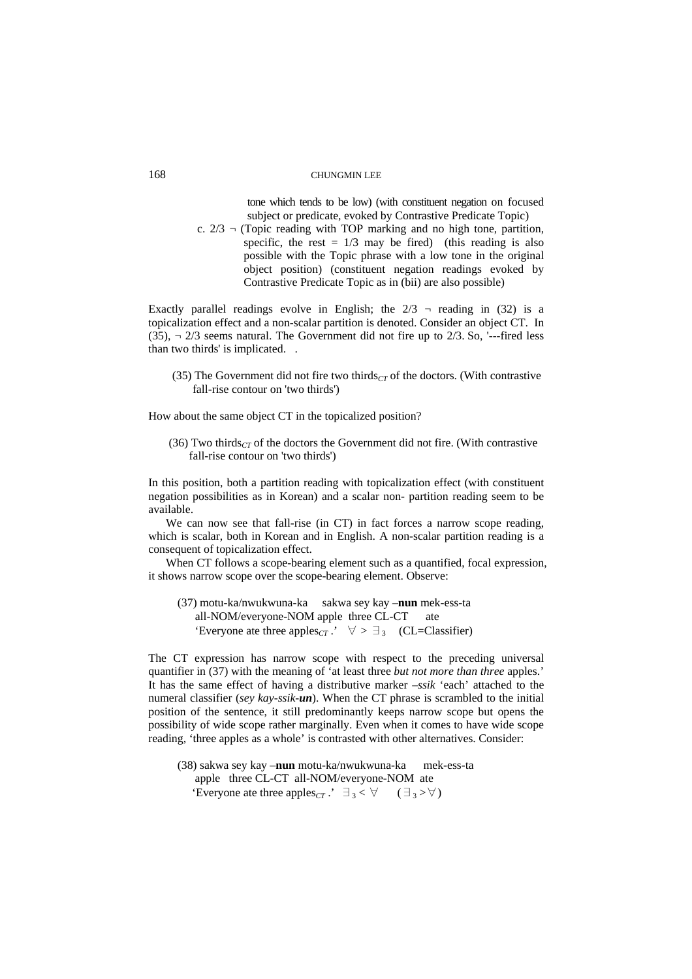tone which tends to be low) (with constituent negation on focused subject or predicate, evoked by Contrastive Predicate Topic)

c.  $2/3 \neg$  (Topic reading with TOP marking and no high tone, partition, specific, the rest  $= 1/3$  may be fired) (this reading is also possible with the Topic phrase with a low tone in the original object position) (constituent negation readings evoked by Contrastive Predicate Topic as in (bii) are also possible)

Exactly parallel readings evolve in English; the  $2/3$   $\lnot$  reading in (32) is a topicalization effect and a non-scalar partition is denoted. Consider an object CT. In  $(35)$ ,  $\neg$  2/3 seems natural. The Government did not fire up to 2/3. So, '---fired less than two thirds' is implicated. .

(35) The Government did not fire two thirds $_{CT}$  of the doctors. (With contrastive fall-rise contour on 'two thirds')

How about the same object CT in the topicalized position?

(36) Two thirds $_{CT}$  of the doctors the Government did not fire. (With contrastive fall-rise contour on 'two thirds')

In this position, both a partition reading with topicalization effect (with constituent negation possibilities as in Korean) and a scalar non- partition reading seem to be available.

We can now see that fall-rise (in CT) in fact forces a narrow scope reading, which is scalar, both in Korean and in English. A non-scalar partition reading is a consequent of topicalization effect.

When CT follows a scope-bearing element such as a quantified, focal expression, it shows narrow scope over the scope-bearing element. Observe:

(37) motu-ka/nwukwuna-ka sakwa sey kay –**nun** mek-ess-ta all-NOM/everyone-NOM apple three CL-CT ate 'Everyone ate three apples<sub>*CT*</sub>.'  $\forall$  >  $\exists$ <sub>3</sub> (CL=Classifier)

The CT expression has narrow scope with respect to the preceding universal quantifier in (37) with the meaning of 'at least three *but not more than three* apples.' It has the same effect of having a distributive marker –*ssik* 'each' attached to the numeral classifier (*sey kay-ssik-un*). When the CT phrase is scrambled to the initial position of the sentence, it still predominantly keeps narrow scope but opens the possibility of wide scope rather marginally. Even when it comes to have wide scope reading, 'three apples as a whole' is contrasted with other alternatives. Consider:

(38) sakwa sey kay –**nun** motu-ka/nwukwuna-ka mek-ess-ta apple three CL-CT all-NOM/everyone-NOM ate 'Everyone ate three apples<sub>*CT*</sub>.'  $\exists_3 < \forall$  ( $\exists_3 > \forall$ )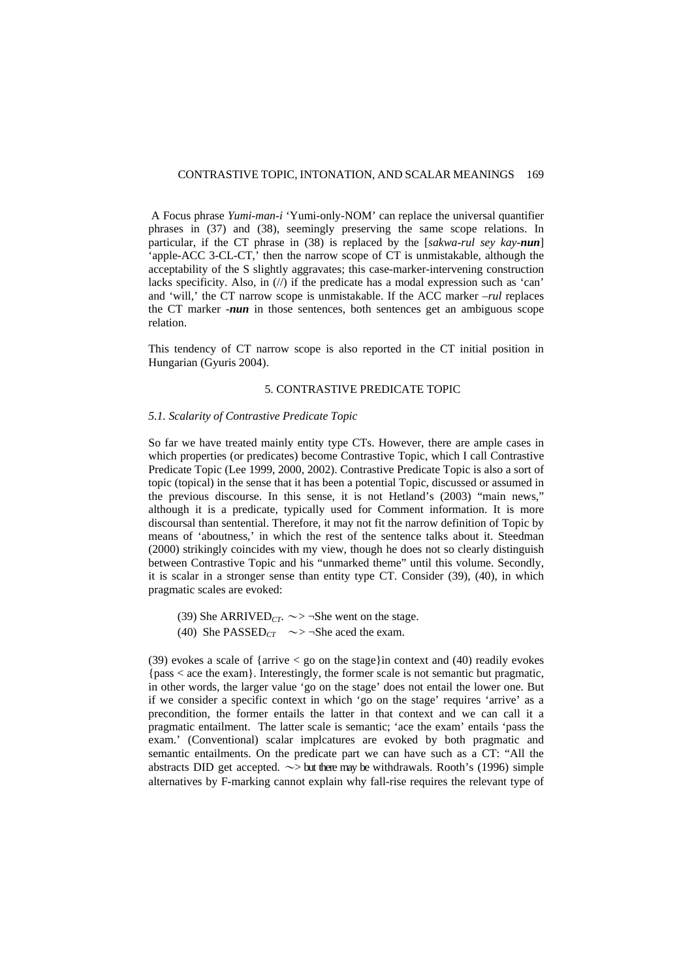A Focus phrase *Yumi-man-i* 'Yumi-only-NOM' can replace the universal quantifier phrases in (37) and (38), seemingly preserving the same scope relations. In particular, if the CT phrase in (38) is replaced by the [*sakwa-rul sey kay-nun*] 'apple-ACC 3-CL-CT,' then the narrow scope of CT is unmistakable, although the acceptability of the S slightly aggravates; this case-marker-intervening construction lacks specificity. Also, in (//) if the predicate has a modal expression such as 'can' and 'will,' the CT narrow scope is unmistakable. If the ACC marker –*rul* replaces the CT marker -*nun* in those sentences, both sentences get an ambiguous scope relation.

This tendency of CT narrow scope is also reported in the CT initial position in Hungarian (Gyuris 2004).

## 5. CONTRASTIVE PREDICATE TOPIC

#### *5.1. Scalarity of Contrastive Predicate Topic*

So far we have treated mainly entity type CTs. However, there are ample cases in which properties (or predicates) become Contrastive Topic, which I call Contrastive Predicate Topic (Lee 1999, 2000, 2002). Contrastive Predicate Topic is also a sort of topic (topical) in the sense that it has been a potential Topic, discussed or assumed in the previous discourse. In this sense, it is not Hetland's (2003) "main news," although it is a predicate, typically used for Comment information. It is more discoursal than sentential. Therefore, it may not fit the narrow definition of Topic by means of 'aboutness,' in which the rest of the sentence talks about it. Steedman (2000) strikingly coincides with my view, though he does not so clearly distinguish between Contrastive Topic and his "unmarked theme" until this volume. Secondly, it is scalar in a stronger sense than entity type CT. Consider (39), (40), in which pragmatic scales are evoked:

- (39) She ARRIVED<sub>CT</sub>.  $\sim$ >  $\neg$ She went on the stage.
- (40) She PASSED<sub>*CT*</sub>  $\sim$  >  $\neg$ She aced the exam.

(39) evokes a scale of {arrive < go on the stage}in context and (40) readily evokes {pass < ace the exam}. Interestingly, the former scale is not semantic but pragmatic, in other words, the larger value 'go on the stage' does not entail the lower one. But if we consider a specific context in which 'go on the stage' requires 'arrive' as a precondition, the former entails the latter in that context and we can call it a pragmatic entailment. The latter scale is semantic; 'ace the exam' entails 'pass the exam.' (Conventional) scalar implcatures are evoked by both pragmatic and semantic entailments. On the predicate part we can have such as a CT: "All the abstracts DID get accepted.  $\sim$  but there may be withdrawals. Rooth's (1996) simple alternatives by F-marking cannot explain why fall-rise requires the relevant type of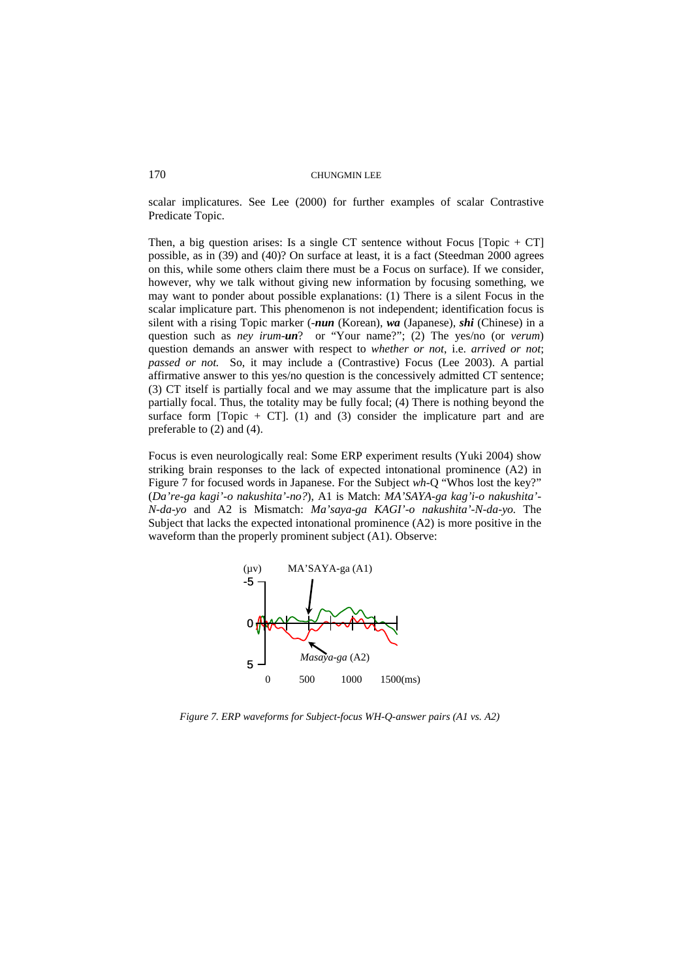scalar implicatures. See Lee (2000) for further examples of scalar Contrastive Predicate Topic.

Then, a big question arises: Is a single CT sentence without Focus [Topic  $+$  CT] possible, as in (39) and (40)? On surface at least, it is a fact (Steedman 2000 agrees on this, while some others claim there must be a Focus on surface). If we consider, however, why we talk without giving new information by focusing something, we may want to ponder about possible explanations: (1) There is a silent Focus in the scalar implicature part. This phenomenon is not independent; identification focus is silent with a rising Topic marker (-*nun* (Korean), *wa* (Japanese), *shi* (Chinese) in a question such as *ney irum-un*? or "Your name?"; (2) The yes/no (or *verum*) question demands an answer with respect to *whether or not*, i.e. *arrived or not*; *passed or not.* So, it may include a (Contrastive) Focus (Lee 2003). A partial affirmative answer to this yes/no question is the concessively admitted CT sentence; (3) CT itself is partially focal and we may assume that the implicature part is also partially focal. Thus, the totality may be fully focal; (4) There is nothing beyond the surface form [Topic + CT]. (1) and (3) consider the implicature part and are preferable to (2) and (4).

Focus is even neurologically real: Some ERP experiment results (Yuki 2004) show striking brain responses to the lack of expected intonational prominence (A2) in Figure 7 for focused words in Japanese. For the Subject *wh-*Q "Whos lost the key?" (*Da're-ga kagi'-o nakushita'-no?*), A1 is Match: *MA'SAYA-ga kag'i-o nakushita'- N-da-yo* and A2 is Mismatch: *Ma'saya-ga KAGI'-o nakushita'-N-da-yo.* The Subject that lacks the expected intonational prominence (A2) is more positive in the waveform than the properly prominent subject (A1). Observe:



*Figure 7. ERP waveforms for Subject-focus WH-Q-answer pairs (A1 vs. A2)*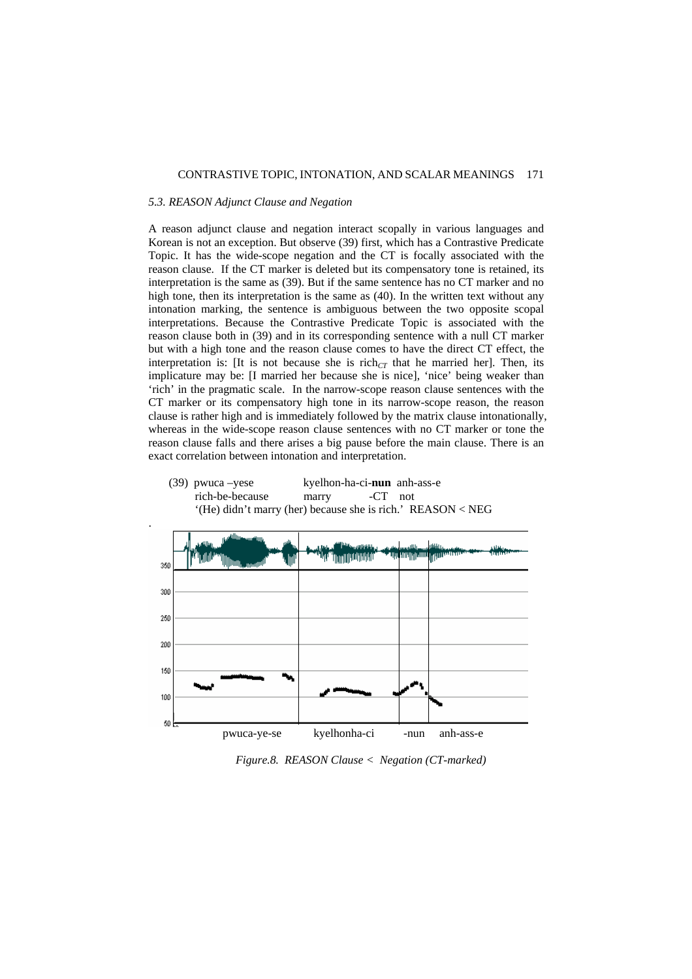#### *5.3. REASON Adjunct Clause and Negation*

A reason adjunct clause and negation interact scopally in various languages and Korean is not an exception. But observe (39) first, which has a Contrastive Predicate Topic. It has the wide-scope negation and the CT is focally associated with the reason clause. If the CT marker is deleted but its compensatory tone is retained, its interpretation is the same as (39). But if the same sentence has no CT marker and no high tone, then its interpretation is the same as (40). In the written text without any intonation marking, the sentence is ambiguous between the two opposite scopal interpretations. Because the Contrastive Predicate Topic is associated with the reason clause both in (39) and in its corresponding sentence with a null CT marker but with a high tone and the reason clause comes to have the direct CT effect, the interpretation is: [It is not because she is  $\text{rich}_{CT}$  that he married her]. Then, its implicature may be: [I married her because she is nice], 'nice' being weaker than 'rich' in the pragmatic scale. In the narrow-scope reason clause sentences with the CT marker or its compensatory high tone in its narrow-scope reason, the reason clause is rather high and is immediately followed by the matrix clause intonationally, whereas in the wide-scope reason clause sentences with no CT marker or tone the reason clause falls and there arises a big pause before the main clause. There is an exact correlation between intonation and interpretation.





*Figure.8. REASON Clause < Negation (CT-marked)*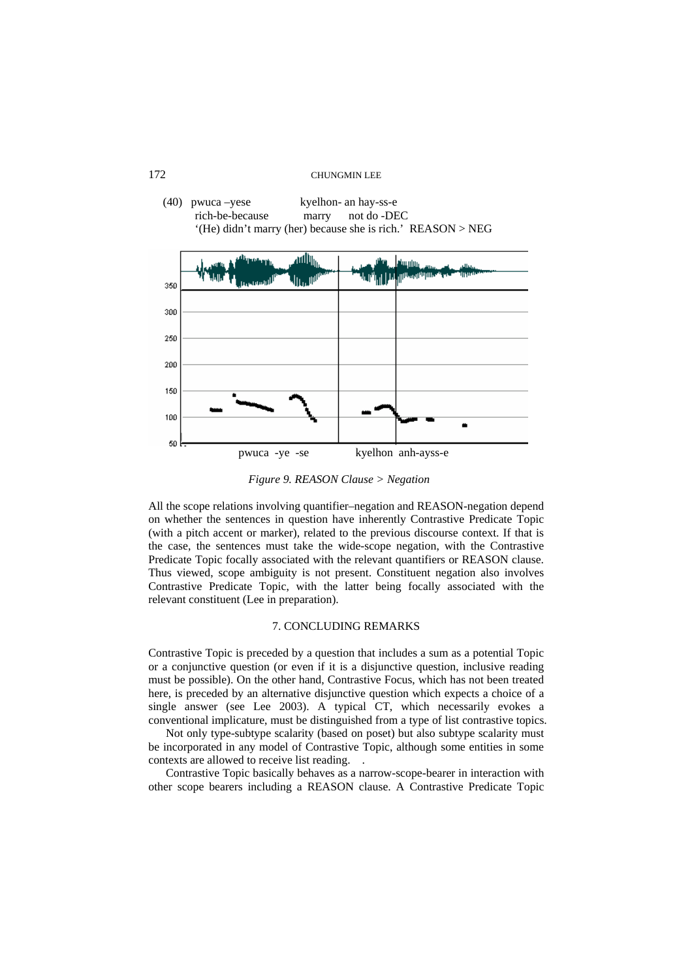

 *Figure 9. REASON Clause > Negation* 

All the scope relations involving quantifier–negation and REASON-negation depend on whether the sentences in question have inherently Contrastive Predicate Topic (with a pitch accent or marker), related to the previous discourse context. If that is the case, the sentences must take the wide-scope negation, with the Contrastive Predicate Topic focally associated with the relevant quantifiers or REASON clause. Thus viewed, scope ambiguity is not present. Constituent negation also involves Contrastive Predicate Topic, with the latter being focally associated with the relevant constituent (Lee in preparation).

#### 7. CONCLUDING REMARKS

Contrastive Topic is preceded by a question that includes a sum as a potential Topic or a conjunctive question (or even if it is a disjunctive question, inclusive reading must be possible). On the other hand, Contrastive Focus, which has not been treated here, is preceded by an alternative disjunctive question which expects a choice of a single answer (see Lee 2003). A typical CT, which necessarily evokes a conventional implicature, must be distinguished from a type of list contrastive topics.

Not only type-subtype scalarity (based on poset) but also subtype scalarity must be incorporated in any model of Contrastive Topic, although some entities in some contexts are allowed to receive list reading. .

Contrastive Topic basically behaves as a narrow-scope-bearer in interaction with other scope bearers including a REASON clause. A Contrastive Predicate Topic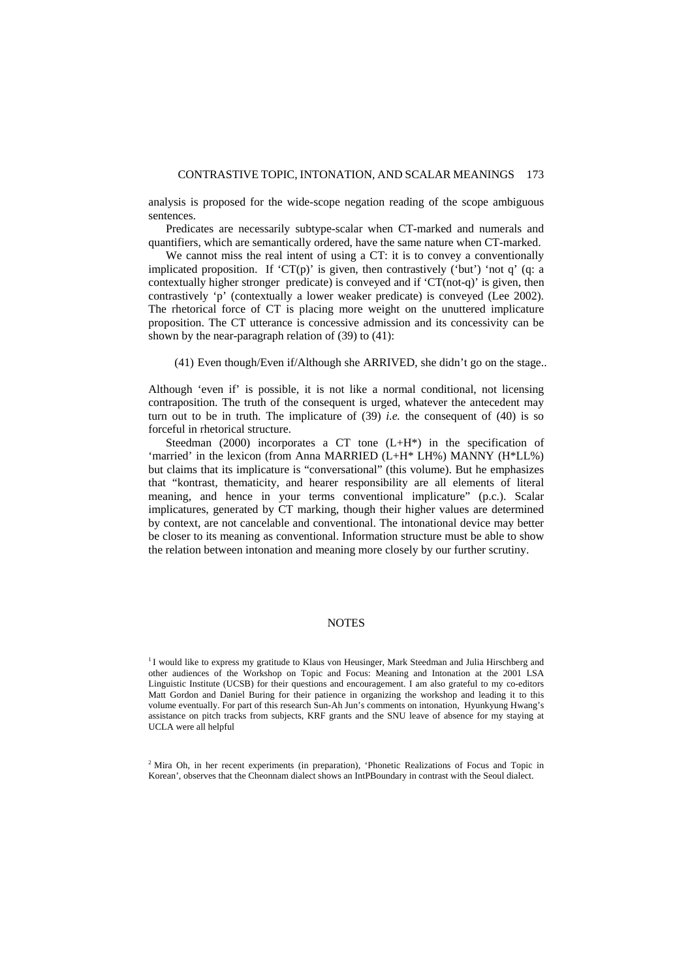analysis is proposed for the wide-scope negation reading of the scope ambiguous sentences.

Predicates are necessarily subtype-scalar when CT-marked and numerals and quantifiers, which are semantically ordered, have the same nature when CT-marked.

We cannot miss the real intent of using a CT: it is to convey a conventionally implicated proposition. If 'CT(p)' is given, then contrastively ('but') 'not q' (q: a contextually higher stronger predicate) is conveyed and if 'CT(not-q)' is given, then contrastively 'p' (contextually a lower weaker predicate) is conveyed (Lee 2002). The rhetorical force of CT is placing more weight on the unuttered implicature proposition. The CT utterance is concessive admission and its concessivity can be shown by the near-paragraph relation of (39) to (41):

(41) Even though/Even if/Although she ARRIVED, she didn't go on the stage..

Although 'even if' is possible, it is not like a normal conditional, not licensing contraposition. The truth of the consequent is urged, whatever the antecedent may turn out to be in truth. The implicature of  $(39)$  *i.e.* the consequent of  $(40)$  is so forceful in rhetorical structure.

Steedman (2000) incorporates a CT tone  $(L+H^*)$  in the specification of 'married' in the lexicon (from Anna MARRIED (L+H\* LH%) MANNY (H\*LL%) but claims that its implicature is "conversational" (this volume). But he emphasizes that "kontrast, thematicity, and hearer responsibility are all elements of literal meaning, and hence in your terms conventional implicature" (p.c.). Scalar implicatures, generated by CT marking, though their higher values are determined by context, are not cancelable and conventional. The intonational device may better be closer to its meaning as conventional. Information structure must be able to show the relation between intonation and meaning more closely by our further scrutiny.

#### **NOTES**

<sup>1</sup> I would like to express my gratitude to Klaus von Heusinger, Mark Steedman and Julia Hirschberg and other audiences of the Workshop on Topic and Focus: Meaning and Intonation at the 2001 LSA Linguistic Institute (UCSB) for their questions and encouragement. I am also grateful to my co-editors Matt Gordon and Daniel Buring for their patience in organizing the workshop and leading it to this volume eventually. For part of this research Sun-Ah Jun's comments on intonation, Hyunkyung Hwang's assistance on pitch tracks from subjects, KRF grants and the SNU leave of absence for my staying at UCLA were all helpful

<sup>2</sup> Mira Oh, in her recent experiments (in preparation), 'Phonetic Realizations of Focus and Topic in Korean', observes that the Cheonnam dialect shows an IntPBoundary in contrast with the Seoul dialect.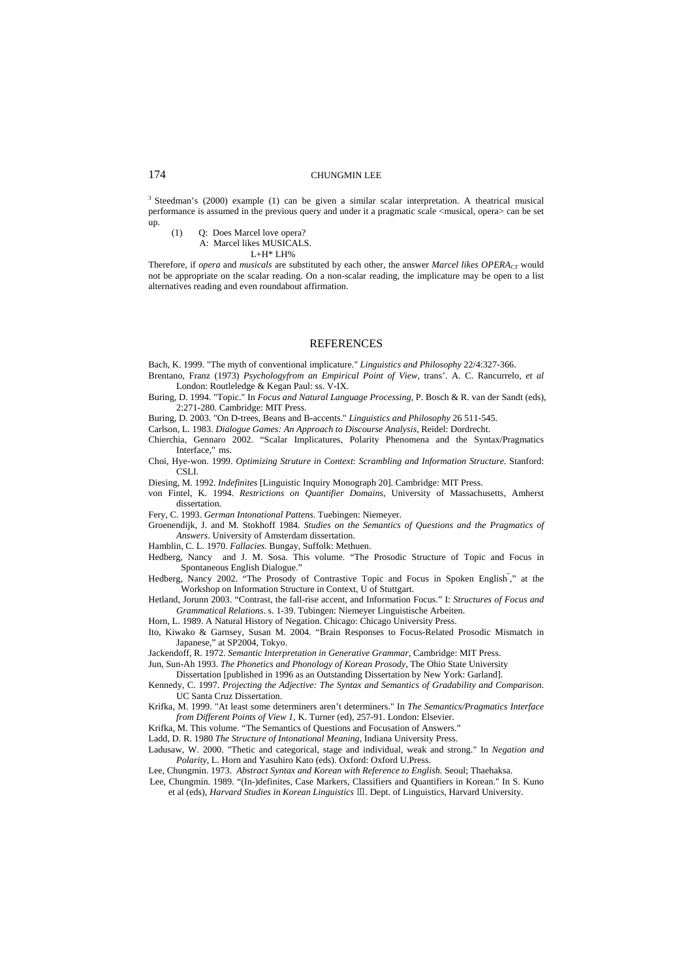3 Steedman's (2000) example (1) can be given a similar scalar interpretation. A theatrical musical performance is assumed in the previous query and under it a pragmatic scale <musical, opera> can be set up.

(1) Q: Does Marcel love opera?

A: Marcel likes MUSICALS.

L+H\* LH%

Therefore, if *opera* and *musicals* are substituted by each other, the answer *Marcel likes OPERA<sub>CT</sub>* would not be appropriate on the scalar reading. On a non-scalar reading, the implicature may be open to a list alternatives reading and even roundabout affirmation.

#### **REFERENCES**

- Bach, K. 1999. "The myth of conventional implicature." *Linguistics and Philosophy* 22/4:327-366.
- Brentano, Franz (1973) *Psychologyfrom an Empirical Point of View*, trans'. A. C. Rancurrelo, *et al*  London: Routleledge & Kegan Paul: ss. V-IX.
- Buring, D. 1994. "Topic." In *Focus and Natural Language Processing,* P. Bosch & R. van der Sandt (eds), 2:271-280. Cambridge: MIT Press.
- Buring, D. 2003. "On D-trees, Beans and B-accents." *Linguistics and Philosophy* 26 511-545.
- Carlson, L. 1983. *Dialogue Games: An Approach to Discourse Analysis*, Reidel: Dordrecht.
- Chierchia, Gennaro 2002. "Scalar Implicatures, Polarity Phenomena and the Syntax/Pragmatics Interface," ms.
- Choi, Hye-won. 1999. *Optimizing Struture in Context*: *Scrambling and Information Structure*. Stanford: CSLI.
- Diesing, M. 1992. *Indefinites* [Linguistic Inquiry Monograph 20]. Cambridge: MIT Press.
- von Fintel, K. 1994. *Restrictions on Quantifier Domains*, University of Massachusetts, Amherst dissertation.
- Fery, C. 1993. *German Intonational Pattens*. Tuebingen: Niemeyer.
- Groenendijk, J. and M. Stokhoff 1984. *Studies on the Semantics of Questions and the Pragmatics of Answers*. University of Amsterdam dissertation.
- Hamblin, C. L. 1970. *Fallacies*. Bungay, Suffolk: Methuen.
- Hedberg, Nancy and J. M. Sosa. This volume. "The Prosodic Structure of Topic and Focus in Spontaneous English Dialogue."

Hedberg, Nancy 2002. "The Prosody of Contrastive Topic and Focus in Spoken English" ," at the Workshop on Information Structure in Context, U of Stuttgart.

Hetland, Jorunn 2003. "Contrast, the fall-rise accent, and Information Focus." I: *Structures of Focus and Grammatical Relations*. s. 1-39. Tubingen: Niemeyer Linguistische Arbeiten.

Horn, L. 1989. A Natural History of Negation. Chicago: Chicago University Press.

Ito, Kiwako & Garnsey, Susan M. 2004. "Brain Responses to Focus-Related Prosodic Mismatch in Japanese," at SP2004, Tokyo.

Jackendoff, R. 1972. *Semantic Interpretation in Generative Grammar*, Cambridge: MIT Press.

- Jun, Sun-Ah 1993. *The Phonetics and Phonology of Korean Prosody*, The Ohio State University
- Dissertation [published in 1996 as an Outstanding Dissertation by New York: Garland].
- Kennedy, C. 1997. *Projecting the Adjective: The Syntax and Semantics of Gradability and Comparison*. UC Santa Cruz Dissertation.
- Krifka, M. 1999. "At least some determiners aren't determiners." In *The Semantics/Pragmatics Interface from Different Points of View 1,* K. Turner (ed), 257-91. London: Elsevier.
- Krifka, M. This volume. "The Semantics of Questions and Focusation of Answers."
- Ladd, D. R. 1980 *The Structure of Intonational Meaning*, Indiana University Press.
- Ladusaw, W. 2000. "Thetic and categorical, stage and individual, weak and strong." In *Negation and Polarity*, L. Horn and Yasuhiro Kato (eds). Oxford: Oxford U.Press.
- Lee, Chungmin. 1973. *Abstract Syntax and Korean with Reference to English*. Seoul; Thaehaksa.
- Lee, Chungmin. 1989. "(In-)definites, Case Markers, Classifiers and Quantifiers in Korean." In S. Kuno et al (eds), *Harvard Studies in Korean Linguistics* III. Dept. of Linguistics, Harvard University.